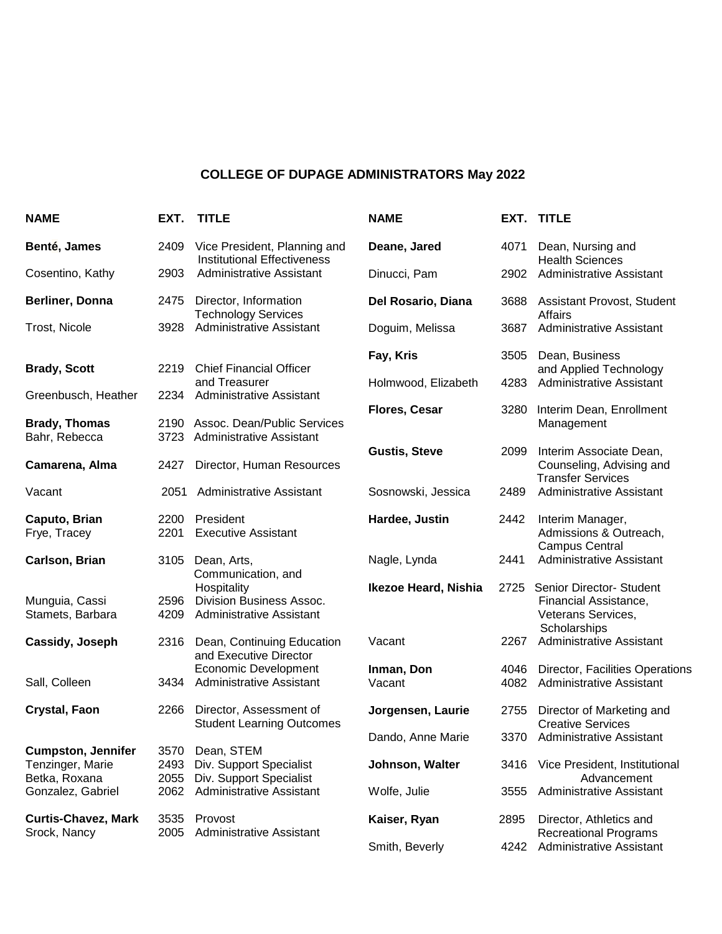## **COLLEGE OF DUPAGE ADMINISTRATORS May 2022**

| <b>NAME</b>                                | EXT.         | <b>TITLE</b>                                                                      | <b>NAME</b>          |      | EXT. TITLE                                                                              |
|--------------------------------------------|--------------|-----------------------------------------------------------------------------------|----------------------|------|-----------------------------------------------------------------------------------------|
| Benté, James                               | 2409         | Vice President, Planning and<br><b>Institutional Effectiveness</b>                | Deane, Jared         | 4071 | Dean, Nursing and                                                                       |
| Cosentino, Kathy                           | 2903         | Administrative Assistant                                                          | Dinucci, Pam         | 2902 | <b>Health Sciences</b><br><b>Administrative Assistant</b>                               |
| Berliner, Donna                            | 2475         | Director, Information<br><b>Technology Services</b>                               | Del Rosario, Diana   |      | 3688 Assistant Provost, Student<br><b>Affairs</b>                                       |
| Trost, Nicole                              | 3928         | <b>Administrative Assistant</b>                                                   | Doguim, Melissa      | 3687 | <b>Administrative Assistant</b>                                                         |
| <b>Brady, Scott</b>                        | 2219         | <b>Chief Financial Officer</b>                                                    | Fay, Kris            | 3505 | Dean, Business                                                                          |
|                                            |              | and Treasurer                                                                     | Holmwood, Elizabeth  | 4283 | and Applied Technology<br><b>Administrative Assistant</b>                               |
| Greenbusch, Heather                        | 2234         | <b>Administrative Assistant</b>                                                   | Flores, Cesar        | 3280 | Interim Dean, Enrollment                                                                |
| <b>Brady, Thomas</b><br>Bahr, Rebecca      |              | 2190 Assoc. Dean/Public Services<br>3723 Administrative Assistant                 |                      |      | Management                                                                              |
| Camarena, Alma                             | 2427         | Director, Human Resources                                                         | <b>Gustis, Steve</b> | 2099 | Interim Associate Dean,<br>Counseling, Advising and<br><b>Transfer Services</b>         |
| Vacant                                     | 2051         | <b>Administrative Assistant</b>                                                   | Sosnowski, Jessica   | 2489 | <b>Administrative Assistant</b>                                                         |
| Caputo, Brian<br>Frye, Tracey              | 2200<br>2201 | President<br><b>Executive Assistant</b>                                           | Hardee, Justin       | 2442 | Interim Manager,<br>Admissions & Outreach,<br><b>Campus Central</b>                     |
| Carlson, Brian                             | 3105         | Dean, Arts,<br>Communication, and                                                 | Nagle, Lynda         | 2441 | <b>Administrative Assistant</b>                                                         |
| Munguia, Cassi<br>Stamets, Barbara         | 2596<br>4209 | Hospitality<br><b>Division Business Assoc.</b><br><b>Administrative Assistant</b> | Ikezoe Heard, Nishia | 2725 | Senior Director- Student<br>Financial Assistance,<br>Veterans Services,<br>Scholarships |
| Cassidy, Joseph                            | 2316         | Dean, Continuing Education<br>and Executive Director                              | Vacant               | 2267 | <b>Administrative Assistant</b>                                                         |
| Sall, Colleen                              | 3434         | <b>Economic Development</b><br><b>Administrative Assistant</b>                    | Inman, Don<br>Vacant | 4046 | Director, Facilities Operations<br>4082 Administrative Assistant                        |
| Crystal, Faon                              | 2266         | Director, Assessment of<br><b>Student Learning Outcomes</b>                       | Jorgensen, Laurie    | 2755 | Director of Marketing and<br><b>Creative Services</b>                                   |
| <b>Cumpston, Jennifer</b>                  | 3570         | Dean, STEM                                                                        | Dando, Anne Marie    |      | 3370 Administrative Assistant                                                           |
| Tenzinger, Marie<br>Betka, Roxana          | 2493<br>2055 | Div. Support Specialist<br>Div. Support Specialist                                | Johnson, Walter      |      | 3416 Vice President, Institutional<br>Advancement                                       |
| Gonzalez, Gabriel                          | 2062         | <b>Administrative Assistant</b>                                                   | Wolfe, Julie         | 3555 | Administrative Assistant                                                                |
| <b>Curtis-Chavez, Mark</b><br>Srock, Nancy | 3535<br>2005 | Provost<br>Administrative Assistant                                               | Kaiser, Ryan         | 2895 | Director, Athletics and<br><b>Recreational Programs</b>                                 |
|                                            |              |                                                                                   | Smith, Beverly       | 4242 | Administrative Assistant                                                                |